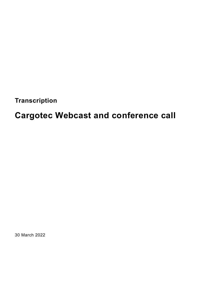**Transcription**

# **Cargotec Webcast and conference call**

30 March 2022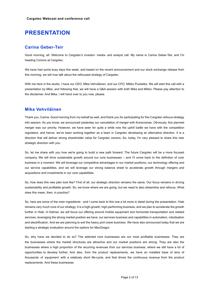# **PRESENTATION**

## **Carina Geber-Teir**

Good morning, all. Welcome to Cargotec's investor- media- and analyst call. My name is Carina Geber-Teir, and I'm heading Comms at Cargotec.

We have had some busy days this week, and based on the recent announcement and our stock exchange release from this morning, we will now talk about the refocused strategy of Cargotec.

With me here in the studio, I have our CEO, Mika Vehviläinen, and our CFO, Mikko Puolakka. We will start this call with a presentation by Mika, and following that, we will have a Q&A session with both Mika and Mikko. Please pay attention to the disclaimer. And Mika, I will hand over to you now, please.

## **Mika Vehviläinen**

Thank you, Carina. Good morning from my behalf as well, and thank you for participating for this Cargotec refocus strategy info session. As you know, we announced yesterday our cancelation of merger with Konecranes. Obviously, this planned merger was our priority. However, we have seen for quite a while now the uphill battle we have with the competition regulators, and hence, we've been working together as a team in Cargotec developing an alternative direction. It is a direction that will deliver strong shareholder value for Cargotec owners. So, today, I'm very pleased to share this new strategic direction with you.

So, let me share with you how we're going to build a new path forward. The future Cargotec will be a more focused company. We will drive sustainable growth around our core businesses – and I'll come back to the definition of core business in a moment. We will leverage our competitive advantages in our market positions, our technology offering and our service capabilities, and we will leverage our strong balance sheet to accelerate growth through mergers and acquisitions and investments in our core capabilities.

So, how does this new plan look like? First of all, our strategic direction remains the same. Our focus remains in driving sustainability and profitable growth. So, we know where we are going, but we need to also streamline and refocus. What does this mean, then, in practice?

So, here are some of the main ingredients - and I come back to this one a bit more in detail during the presentation. Hiab remains very much core of our strategy. It is a high-growth, high-performing business, and we plan to accelerate the growth further in Hiab. In Kalmar, we will focus our offering around mobile equipment and horizontal transportation and related services, leveraging the strong market position we have, our services business and capabilities in automation, robotisation and electrification. And we are planning to exit the heavy port crane business. We have also announced today that we are starting a strategic evaluation around the options for MacGregor.

So, why have we decided to do so? The selected core businesses are our most profitable businesses. They are the businesses where the market structures are attractive and our market positions are strong. They are also the businesses where a high proportion of the recurring revenues from our services business, where we still have a lot of opportunities to develop further. And also, from the product replacements, we have an installed base of tens of thousands of equipment with a relatively short life-cycle, and that drives the continuous revenue from the product replacements. And these businesses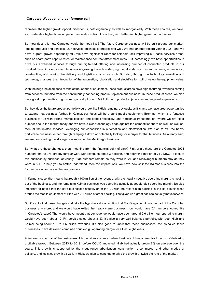represent the higher-growth opportunities for us, both organically as well as in-organically. With these choices, we have a considerable higher financial performance almost from the outset, with better and higher growth opportunities.

So, how does this new Cargotec would then look like? The future Cargotec business will be built around our marketleading products and services. Our services business is progressing well. We had another record year in 2021, and we have a great growth opportunity still. We have significant room for self-help, still improving our basic services areas, such as spare parts capture rates, or maintenance contract attachment rates. But increasingly, we have opportunities to drive our advanced services through our digitalised offering and increasing number of connected products in our installed base. Our equipment business is growing through underlying megatrends, such as e-commerce, urbanisation, construction, and moving the delivery and logistics chains, as such. But also, through the technology evolution and technology changes, the introduction of the automation, robotisation and electrification, will drive up the equipment value.

With the huge installed base of tens of thousands of equipment, these product areas have high recurring revenues coming from services, but also from the continuously happening product replacement business. In these product areas, we also have great opportunities to grow in-organically through M&A, through product adjacencies and regional expansions.

So, how does the future product portfolio would look like? Hiab remains, obviously, as it is, and we have great opportunities to expand that business further. In Kalmar, our focus will be around mobile equipment; Bromma, which is a fantastic business for us with strong market position and good profitability; and horizontal transportation, where we are clear number one in the market today and we have a clear technology edge against the competition there as well, as well as, then, all the related services, leveraging our capabilities in automation and electrification. We plan to exit the heavy port crane business, either through ramping it down or potentially looking for a buyer for that business. As already said, we are now starting the strategic evaluation of the MacGregor business.

So, what are these changes, then, meaning from the financial point of view? First of all, these are the Cargotec 2021 numbers that you're already familiar with, with revenues about 3.3 billion, and operating margin of 7%. Now, if I look at this business-by-business, obviously, Hiab numbers remain as they were in '21, and MacGregor numbers stay as they were in '21. To help you to better understand, then the implications, we have now split the Kalmar business into the focused areas and areas that we plan to exit.

In Kalmar's case, that means that roughly 100 million of the revenue, with the heavily-negative operating margin, is moving out of the business, and the remaining Kalmar business was operating actually at double-digit operating margin. It's also important to notice that the core businesses actually enter the '22 with the record-high backlog in the core businesses around the mobile equipment at Hiab with 2.1 billion of order backlog. That gives us a great basis to actually move forward.

So, if you look at these changes and take the hypothetical assumption that MacGregor would not be part of the Cargotec business any more, and we would have exited the heavy crane business, how would have '21 numbers looked like in Cargotec's case? That would have meant that our revenue would have been around 2.6 billion, our operating margin would have been about 10.1%, service sales about 31%. It's also a very well-balanced portfolio, with both Hiab and Kalmar being about 1.3 to 1.5 billion revenues. It's also good to know that these businesses, the so-called focus businesses, have delivered combined double-digit operating margin for all last eight years.

A few words about all of the businesses. Hiab obviously is an excellent business. It has a great track record of delivering profitable growth. Between 2013 to 2019, before COVID impacted, Hiab had actually grown 7% on average over the years. This growth is supported by the megatrends urbanisation, construction, e-commerce, and other modes of delivery, and logistics growth as well. In Hiab, we plan to continue to drive the growth at twice the rate of the market.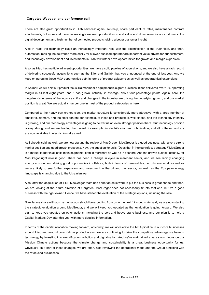There are also great opportunities in Hiab services: again, self-help, spare part capture rates, maintenance contract attachments, but more and more, increasingly we see opportunities to add value and drive value for our customers the digital development and high number of connected products, giving a better customer insight.

Also in Hiab, the technology plays an increasingly important role, with the electrification of the truck fleet, and then, automation, making the deliveries more easily for a lower-qualified operator are important value drivers for our customers, and technology development and investments in Hiab will further drive opportunities for growth and margin expansion.

Also, as Hiab has multiple adjacent opportunities, we have a solid pipeline of acquisitions, and we also have a track record of delivering successful acquisitions such as the Effer and Galfab, that was announced at the end of last year. And we keep on pursuing those M&A opportunities both in terms of product adjacencies as well as geographical expansions.

In Kalmar, we will shift our product focus. Kalmar mobile equipment is a great business. It has delivered over 10% operating margin in all last eight years, and it has grown, actually, in average, about four percentage points. Again, here, the megatrends in terms of the logistics shifts and changes in the industry are driving the underlying growth, and our market position is great. We are actually number one in most of the product categories in here.

Compared to the heavy port cranes side, the market structure is considerably more attractive, with a large number of smaller customers, and the steel content, for example, of those end-products is well-placed, and the technology intensity is growing, and our technology advantages is going to deliver us an even stronger position there. Our technology position is very strong, and we are leading the market, for example, in electrification and robotisation, and all of these products are now available in electric format as well.

As I already said, as well, we are now starting the review of MacGregor. MacGregor is a good business, with a very strong market position and good growth prospects. Now, the question for us is, 'Does that fit into our refocus strategy?' MacGregor is a market leader in all of its main segments, both in merchant as well as in offshore. And the growth outlook, actually, for MacGregor right now is good. There has been a change in cycle in merchant sector, and we see rapidly changing energy environment, driving good opportunities in offshore, both in terms of renewables, i.e. offshore wind, as well as we are likely to see further expansion and investment in the oil and gas sector, as well, as the European energy landscape is changing due to the Ukrainian war.

Also, after the acquisition of TTS, MacGregor team has done fantastic work to put the business in great shape and then, we are looking at the future direction at Cargotec. MacGregor does not necessarily fit into that one, but it's a good business with the right owner. Hence, we have started the evaluation of the strategic options, including the sale.

Now, let me share with you next what you should be expecting from us in the next 12 months. As said, we are now starting the strategic evaluation around MacGregor, and we will keep you updated as that evaluation is going forward. We also plan to keep you updated on other actions, including the port and heavy crane business, and our plan is to hold a Capital Markets Day later this year with more detailed information.

In terms of the capital allocation moving forward, obviously, we will accelerate the M&A pipeline in our core businesses around Hiab and around core Kalmar product areas. We are continuing to drive the competitive advantage we have in technology by investing into electrification, robotics and digitalisation. And we've maintained a very strong focus on our Mission Climate actions because the climate change and sustainability is a great business opportunity for us. Obviously, as a part of these changes, we are, then, also reviewing the operational mode and the Group functions with the refocused businesses.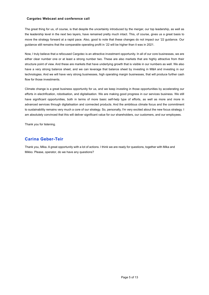The great thing for us, of course, is that despite the uncertainty introduced by the merger, our top leadership, as well as the leadership level in the next two layers, have remained pretty much intact. This, of course, gives us a great basis to move the strategy forward at a rapid pace. Also, good to note that these changes do not impact our '22 guidance. Our guidance still remains that the comparable operating profit in '22 will be higher than it was in 2021.

Now, I truly believe that a refocused Cargotec is an attractive investment opportunity. In all of our core businesses, we are either clear number one or at least a strong number two. These are also markets that are highly attractive from their structure point of view. And these are markets that have underlying growth that is visible in our numbers as well. We also have a very strong balance sheet, and we can leverage that balance sheet by investing in M&A and investing in our technologies. And we will have very strong businesses, high operating margin businesses, that will produce further cash flow for those investments.

Climate change is a great business opportunity for us, and we keep investing in those opportunities by accelerating our efforts in electrification, robotisation, and digitalisation. We are making good progress in our services business. We still have significant opportunities, both in terms of more basic self-help type of efforts, as well as more and more in advanced services through digitalisation and connected products. And the ambitious climate focus and the commitment to sustainability remains very much a core of our strategy. So, personally, I'm very excited about the new focus strategy. I am absolutely convinced that this will deliver significant value for our shareholders, our customers, and our employees.

Thank you for listening.

## **Carina Geber-Teir**

Thank you, Mika. A great opportunity with a lot of actions. I think we are ready for questions, together with Mika and Mikko. Please, operator, do we have any questions?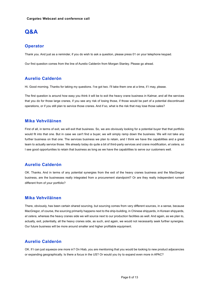## **Q&A**

## **Operator**

Thank you. And just as a reminder, if you do wish to ask a question, please press 01 on your telephone keypad.

Our first question comes from the line of Aurelio Calderón from Morgan Stanley. Please go ahead.

## **Aurelio Calderón**

Hi. Good morning. Thanks for taking my questions. I've got two. I'll take them one at a time, if I may, please.

The first question is around how easy you think it will be to exit the heavy crane business in Kalmar, and all the services that you do for those large cranes, if you see any risk of losing those, if those would be part of a potential discontinued operations, or if you still plan to service those cranes. And if so, what is the risk that may lose those sales?

## **Mika Vehviläinen**

First of all, in terms of exit, we will exit that business. So, we are obviously looking for a potential buyer that that portfolio would fit into that one. But in case we can't find a buyer, we will simply ramp down the business. We will not take any further business on that one. The services business we plan to retain, and I think we have the capabilities and a great team to actually service those. We already today do quite a bit of third-party services and crane modification, *et cetera,* so I see good opportunities to retain that business as long as we have the capabilities to serve our customers well.

## **Aurelio Calderón**

OK. Thanks. And in terms of any potential synergies from the exit of the heavy cranes business and the MacGregor business, are the businesses really integrated from a procurement standpoint? Or are they really independent runned different from of your portfolio?

## **Mika Vehviläinen**

There, obviously, has been certain shared sourcing, but sourcing comes from very different sources, in a sense, because MacGregor, of course, the sourcing primarily happens next to the ship-building, in Chinese shipyards, in Korean shipyards, *et cetera*, whereas the heavy cranes side we will source next to our production facilities as well. And again, as we plan to, actually, exit, potentially, all the heavy cranes side, as such, and again, we would not necessarily seek further synergies. Our future business will be more around smaller and higher profitable equipment.

## **Aurelio Calderón**

OK. If I can just squeeze one more in? On Hiab, you are mentioning that you would be looking to new product adjacencies or expanding geographically. Is there a focus in the US? Or would you try to expand even more in APAC?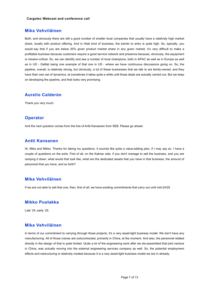## **Mika Vehviläinen**

Both, and obviously there are still a good number of smaller local companies that usually have a relatively high market share, locally with product offering. And in Hiab kind of business, the barrier to entry is quite high. So, typically, you would say that if you are below 20% given product market share in any given market, it's very difficult to make a profitable business because customers require a good service network and presence because, obviously, the equipment is mission-critical. So, we can identify and see a number of local champions, both in APAC as well as in Europe as well as in US - Galfab being one example of that one in US - where we have continuous discussions going on. So, the pipeline, overall, is relatively strong, but obviously, a lot of these businesses that we talk to are family-owned, and they have their own set of dynamics, at sometimes it takes quite a while until those deals are actually carried out. But we keep on developing the pipeline, and that looks very promising.

## **Aurelio Calderón**

Thank you very much.

#### **Operator**

And the next question comes from the line of Antti Kansanen from SEB. Please go ahead.

## **Antti Kansanen**

Hi, Mika and Mikko. Thanks for taking my questions. It sounds like quite a value-adding plan, if I may say so. I have a couple of questions on the exits. First of all, on the Kalmar side, if you don't manage to sell the business, and you are ramping it down, what would that look like, what are the dedicated assets that you have in that business, the amount of personnel that you have, and so forth?

## **Mika Vehviläinen**

If we are not able to sell that one, then, first of all, we have existing commitments that carry out until mid-24/25

## **Mikko Puolakka**

Late '24, early '25.

#### **Mika Vehviläinen**

In terms of our commitment to carrying through those projects, it's a very asset-light business model. We don't have any manufacturing. All of those cranes are subcontracted, primarily in China, at the moment. And also, the personnel related directly in the design of that is quite limited. Quite a lot of the engineering work after we dis-assembled that joint venture in China, was actually moving into the external engineering services company as well. So, the potential employment effects and restructuring is relatively modest because it is a very asset-light business model we are in already.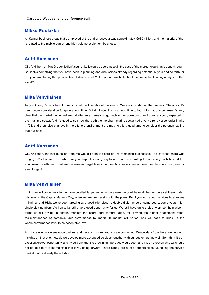#### **Mikko Puolakka**

All Kalmar business areas that's employed at the end of last year was approximately €630 million, and the majority of that is related to the mobile equipment, high-volume equipment business.

#### **Antti Kansanen**

OK. And then, on MacGregor, it didn't sound like it would be core asset in the case of the merger would have gone through. So, is this something that you have been in planning and discussions already regarding potential buyers and so forth, or are you now starting that process from today onwards? How should we think about the timetable of finding a buyer for that asset?

#### **Mika Vehviläinen**

As you know, it's very hard to predict what the timetable of this one is. We are now starting the process. Obviously, it's been under consideration for quite a long time. But right now, this is a good time to look into that one because it's very clear that the market has turned around after an extremely long, much longer downturn than, I think, anybody expected in the maritime sector. And it's good to see now that both the merchant marine sector had a very strong vessel order intake in '21, and then, also changes in the offshore environment are making this a good time to consider the potential exiting that business.

## **Antti Kansanen**

OK. And then, the last question from me would be on the core on the remaining businesses. The services share was roughly 30% last year. So, what are your expectations, going forward, on accelerating the service growth beyond the equipment growth, and what are the relevant target levels that new businesses can achieve over, let's say, five years or even longer?

## **Mika Vehviläinen**

I think we will come back to the more detailed target setting – I'm aware we don't have all the numbers yet there. Later, this year on the Capital Markets Day, when we are progressing with the plans. But if you look at our services businesses in Kalmar and Hiab, we've been growing at a good clip, close to double-digit numbers, some years; some years, high single-digit numbers. As I said, it's still a very good opportunity for us. We still have quite a bit of work self-help-wise in terms of still driving in certain markets the spare part capture rates, still driving the higher attachment rates, the maintenance agreements. Our performance by market- to- market still varies, and we need to bring up the whole performance level to an acceptable level.

And increasingly, we see opportunities, and more and more products are connected. We get data from there, we get good insights on that one, how do we develop more advanced services together with our customers, as well. So, I think it's an excellent growth opportunity, and I would say that the growth numbers you would see - and I see no reason why we should not be able to at least maintain that level, going forward. There simply are a lot of opportunities just taking the service market that is already there today.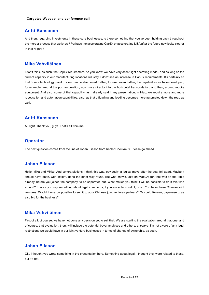## **Antti Kansanen**

And then, regarding investments in these core businesses, is there something that you've been holding back throughout the merger process that we know? Perhaps the accelerating CapEx or accelerating M&A after the future now looks clearer in that regard?

## **Mika Vehviläinen**

I don't think, as such, the CapEx requirement. As you know, we have very asset-light operating model, and as long as the current capacity in our manufacturing locations will stay, I don't see an increase in CapEx requirements. It's certainly so that from a technology point of view can be sharpened further, focused even further, the capabilities we have developed, for example, around the port automation, now more directly into the horizontal transportation, and then, around mobile equipment. And also, some of that capability, as I already said in my presentation, in Hiab, we require more and more robotisation and automation capabilities, also, as that offloading and loading becomes more automated down the road as well.

## **Antti Kansanen**

All right. Thank you, guys. That's all from me.

## **Operator**

The next question comes from the line of Johan Eliason from Kepler Cheuvreux. Please go ahead.

## **Johan Eliason**

Hello, Mika and Mikko. And congratulations. I think this was, obviously, a logical move after the deal fell apart. Maybe it should have been, with insight, done the other way round. But who knows. Just on MacGregor, that was on the table already, before you joined the company, to be separated out. What makes you think it will be possible to do it this time around? I notice you say something about legal comments, if you are able to sell it, or so. You have these Chinese joint ventures. Would it only be possible to sell it to your Chinese joint ventures partners? Or could Korean, Japanese guys also bid for the business?

## **Mika Vehviläinen**

First of all, of course, we have not done any decision yet to sell that. We are starting the evaluation around that one, and of course, that evaluation, then, will include the potential buyer analyses and others, *et cetera*. I'm not aware of any legal restrictions we would have in our joint venture businesses in terms of change of ownership, as such.

## **Johan Eliason**

OK. I thought you wrote something in the presentation here. Something about legal. I thought they were related to those, but it's not.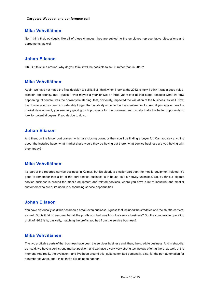#### **Mika Vehviläinen**

No, I think that, obviously, like all of these changes, they are subject to the employee representative discussions and agreements, as well.

## **Johan Eliason**

OK. But this time around, why do you think it will be possible to sell it, rather than in 2012?

#### **Mika Vehviläinen**

Again, we have not made the final decision to sell it. But I think when I look at the 2012, simply, I think it was a good valuecreation opportunity. But I guess it was maybe a year or two or three years late at that stage because what we saw happening, of course, was the down-cycle starting; that, obviously, impacted the valuation of the business, as well. Now, the down-cycle has been considerably longer than anybody expected in the maritime sector. And if you look at now the market development, you see very good growth prospects for the business, and usually that's the better opportunity to look for potential buyers, if you decide to do so.

#### **Johan Eliason**

And then, on the larger port cranes, which are closing down, or then you'll be finding a buyer for. Can you say anything about the installed base, what market share would they be having out there, what service business are you having with them today?

## **Mika Vehviläinen**

It's part of the reported service business in Kalmar, but it's clearly a smaller part than the mobile equipment-related. It's good to remember that a lot of the port service business is in-house as it's heavily unionised. So, by far our biggest service business is around the mobile equipment and related services, where you have a lot of industrial and smaller customers who are quite used to outsourcing service opportunities.

## **Johan Eliason**

You have historically said this has been a break-even business. I guess that included the straddles and the shuttle-carriers, as well. But is it fair to assume that all the profits you had was from the service business? So, the comparable operating profit of -20.8% is, basically, matching the profits you had from the service business?

## **Mika Vehviläinen**

The two profitable parts of that business have been the services business and, then, the straddle business. And in straddle, as I said, we have a very strong market position, and we have a very, very strong technology offering there, as well, at the moment. And really, the evolution - and I've been around this, quite committed personally, also, for the port automation for a number of years, and I think that's still going to happen.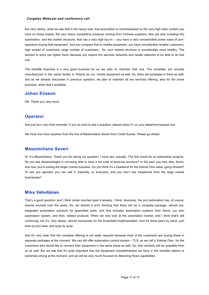But very clearly, what we see that in the heavy side, that automation is overshadowed by the very high steel content you have on those cranes, the very heavy competitive pressure coming from Chinese suppliers, who are also investing into automation, and the market structure, that has a very high buy-in – you have a very concentrated power base of portoperators buying that equipment. And you compare that to mobile equipment, you have considerably smaller customers, high spread of customers, large number of customers. So, your market structure is considerably more healthy. The barriers to entry are higher there because you require the services networks and resale networks to be able to do that one.

The straddle business is a very good business for us; we plan to maintain that one. The straddles are actually manufactured in the same facility in Poland as our mobile equipment as well. So, there are synergies in there as well, and as we already discussed in previous question, we plan to maintain all the services offering, also for the crane business, when that's available.

#### **Johan Eliason**

OK. Thank you very much.

## **Operator**

And just as a very final reminder, if you do wish to ask a question, please press 01 on your telephone keypad now.

We have one more question from the line of Massimiliano Severi from Credit Suisse. Please go ahead.

## **Massimiliano Severi**

Hi. It's Massimiliano. Thank you for taking my question. I have two, actually. The first would be on automation projects. Do you see disadvantages in not being able to have a full suite of products anymore? In the past, you had, also, Navis, and now you're exiting the larger cranes business. Do you think it's a headwind for the Kalmar One sales, going forward? Or are you agnostic you can sell it, basically, to everyone, and you don't see headwinds from the large cranes businesses?

#### **Mika Vehviläinen**

That's a good question, and I think Johan touched upon it already. I think, obviously, the port automation has, of course, heavily evolved over the years. So, we started it with thinking that there will be a complete package, almost preintegrated automation solutions for greenfield ports, and that included automation systems from Navis, our own automation system, and then, related products. When we now look at the automation market, and I think that's still continuing, but it's, very clearly, almost exclusively on the brownfield implementation. And it's done piece by piece, port area by port area, and quay by quay.

And it's very clear that the complete offering is not really required because most of the customers are buying these in separate packages at the moment. We can still offer automation control system – TLS, as we call it, Kalmar One - for the customers who would like to connect their equipment in the same areas as well. So, that certainly will be available from us as well. But we see that it's quite important that the equipment competitiveness we have in the straddle options is extremely strong at the moment, and we will be very much focused on delivering those capabilities.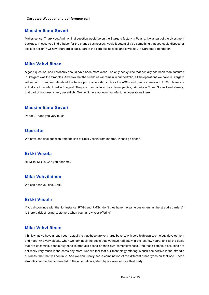#### **Massimiliano Severi**

Makes sense. Thank you. And my final question would be on the Stargard factory in Poland. It was part of the divestment package. In case you find a buyer for the cranes businesses, would it potentially be something that you could dispose or sell it to a client? Or now Stargard is back, part of the core businesses, and it will stay in Cargotec's perimeter?

## **Mika Vehviläinen**

A good question, and I probably should have been more clear. The only heavy side that actually has been manufactured in Stargard was the straddles. And now that the straddles will remain in our portfolio, all the operations we have in Stargard will remain. Then, we talk about the heavy port crane side, such as the ASCs and gantry cranes and STSs, those are actually not manufactured in Stargard. They are manufactured by external parties, primarily in China. So, as I said already, that part of business is very asset-light. We don't have our own manufacturing operations there.

## **Massimiliano Severi**

Perfect. Thank you very much.

#### **Operator**

We have one final question from the line of Erkki Vesola from Inderes. Please go ahead.

## **Erkki Vesola**

Hi, Mika, Mikko. Can you hear me?

## **Mika Vehviläinen**

We can hear you fine, Erkki.

## **Erkki Vesola**

If you discontinue with the, for instance, RTGs and RMGs, don't they have the same customers as the straddle carriers? Is there a risk of losing customers when you narrow your offering?

#### **Mika Vehviläinen**

I think what we have already seen actually is that these are very large buyers, with very high own-technology development and need. And very clearly, when we look at all the deals that we have had lately in the last few years, and all the deals that are upcoming, people buy specific products based on their own competitiveness. And these complete solutions are not really very much in the cards any more. And we feel that our technology offering is such competitive in the straddle business, that that will continue. And we don't really see a combination of the different crane types on that one. These straddles can be then connected to the automation system by our own, or by a third party.